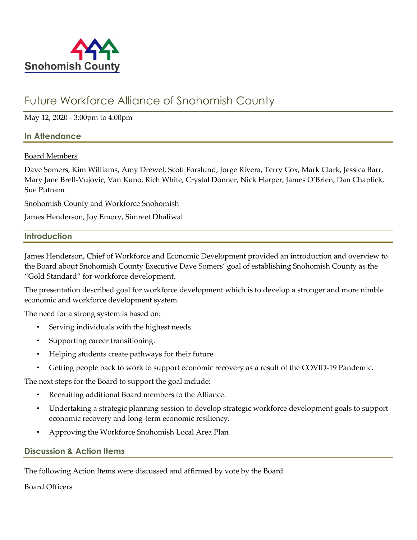

# Future Workforce Alliance of Snohomish County

May 12, 2020 - 3:00pm to 4:00pm

# **In Attendance**

# Board Members

Dave Somers, Kim Williams, Amy Drewel, Scott Forslund, Jorge Rivera, Terry Cox, Mark Clark, Jessica Barr, Mary Jane Brell-Vujovic, Van Kuno, Rich White, Crystal Donner, Nick Harper, James O'Brien, Dan Chaplick, Sue Putnam

Snohomish County and Workforce Snohomish

James Henderson, Joy Emory, Simreet Dhaliwal

# **Introduction**

James Henderson, Chief of Workforce and Economic Development provided an introduction and overview to the Board about Snohomish County Executive Dave Somers' goal of establishing Snohomish County as the "Gold Standard" for workforce development.

The presentation described goal for workforce development which is to develop a stronger and more nimble economic and workforce development system.

The need for a strong system is based on:

- Serving individuals with the highest needs.
- Supporting career transitioning.
- Helping students create pathways for their future.
- Getting people back to work to support economic recovery as a result of the COVID-19 Pandemic.

The next steps for the Board to support the goal include:

- Recruiting additional Board members to the Alliance.
- Undertaking a strategic planning session to develop strategic workforce development goals to support economic recovery and long-term economic resiliency.
- Approving the Workforce Snohomish Local Area Plan

# **Discussion & Action Items**

The following Action Items were discussed and affirmed by vote by the Board

# Board Officers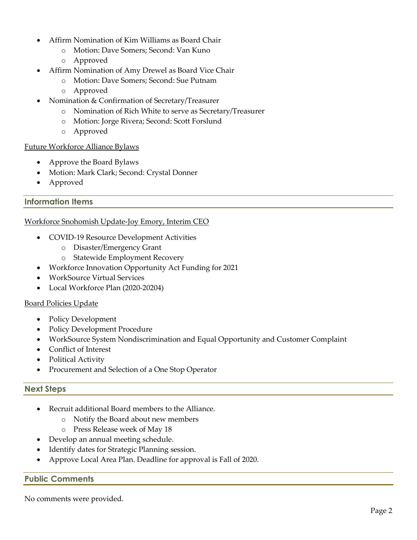- Affirm Nomination of Kim Williams as Board Chair
	- o Motion: Dave Somers; Second: Van Kuno
	- o Approved
- Affirm Nomination of Amy Drewel as Board Vice Chair
	- o Motion: Dave Somers; Second: Sue Putnam
	- o Approved
- Nomination & Confirmation of Secretary/Treasurer
	- o Nomination of Rich White to serve as Secretary/Treasurer
	- o Motion: Jorge Rivera; Second: Scott Forslund
	- o Approved

#### Future Workforce Alliance Bylaws

- Approve the Board Bylaws
- Motion: Mark Clark; Second: Crystal Donner
- Approved

# **Information Items**

# Workforce Snohomish Update-Joy Emory, Interim CEO

- COVID-19 Resource Development Activities
	- o Disaster/Emergency Grant
	- o Statewide Employment Recovery
	- Workforce Innovation Opportunity Act Funding for 2021
- WorkSource Virtual Services
- Local Workforce Plan (2020-20204)

# Board Policies Update

- Policy Development
- Policy Development Procedure
- WorkSource System Nondiscrimination and Equal Opportunity and Customer Complaint
- Conflict of Interest
- Political Activity
- Procurement and Selection of a One Stop Operator

# **Next Steps**

- Recruit additional Board members to the Alliance.
	- o Notify the Board about new members
	- o Press Release week of May 18
- Develop an annual meeting schedule.
- Identify dates for Strategic Planning session.
- Approve Local Area Plan. Deadline for approval is Fall of 2020.

# **Public Comments**

No comments were provided.